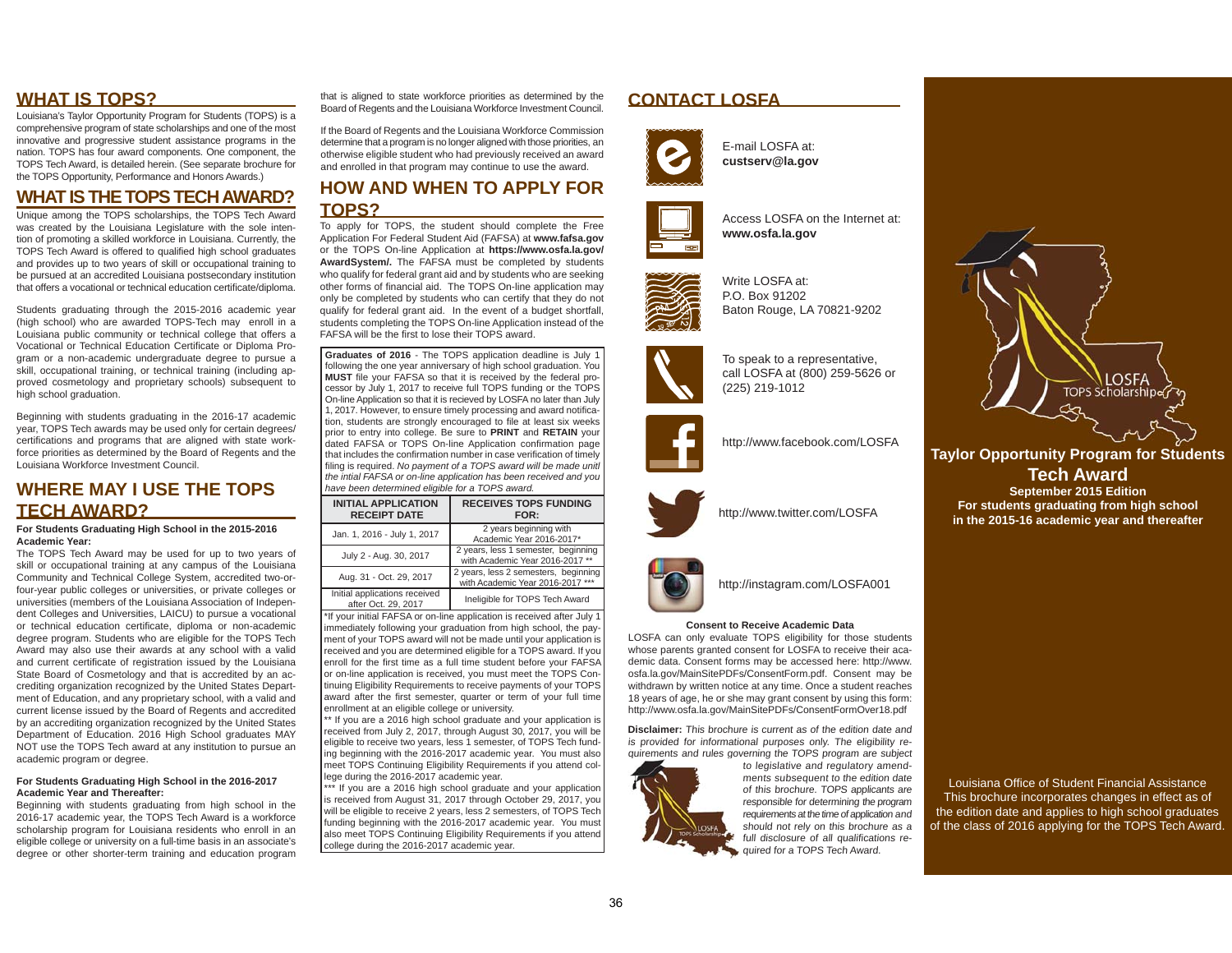#### **WHAT IS TOPS?**

Louisiana's Taylor Opportunity Program for Students (TOPS) is a comprehensive program of state scholarships and one of the most innovative and progressive student assistance programs in the nation. TOPS has four award components. One component, the TOPS Tech Award, is detailed herein. (See separate brochure for the TOPS Opportunity, Performance and Honors Awards.)

### **WHAT IS THE TOPS TECH AWARD?**

Unique among the TOPS scholarships, the TOPS Tech Award was created by the Louisiana Legislature with the sole intention of promoting a skilled workforce in Louisiana. Currently, the TOPS Tech Award is offered to qualified high school graduates and provides up to two years of skill or occupational training to be pursued at an accredited Louisiana postsecondary institution that offers a vocational or technical education certificate/diploma.

Students graduating through the 2015-2016 academic year (high school) who are awarded TOPS-Tech may enroll in a Louisiana public community or technical college that offers a Vocational or Technical Education Certificate or Diploma Program or a non-academic undergraduate degree to pursue a skill, occupational training, or technical training (including approved cosmetology and proprietary schools) subsequent to high school graduation.

Beginning with students graduating in the 2016-17 academic year, TOPS Tech awards may be used only for certain degrees/ certifications and programs that are aligned with state workforce priorities as determined by the Board of Regents and the Louisiana Workforce Investment Council.

## **WHERE MAY I USE THE TOPS TECH AWARD?**

**For Students Graduating High School in the 2015-2016 Academic Year:**

 The TOPS Tech Award may be used for up to two years of skill or occupational training at any campus of the Louisiana Community and Technical College System, accredited two-orfour-year public colleges or universities, or private colleges or universities (members of the Louisiana Association of Independent Colleges and Universities, LAICU) to pursue a vocational or technical education certificate, diploma or non-academic degree program. Students who are eligible for the TOPS Tech Award may also use their awards at any school with a valid and current certificate of registration issued by the Louisiana State Board of Cosmetology and that is accredited by an accrediting organization recognized by the United States Department of Education, and any proprietary school, with a valid and current license issued by the Board of Regents and accredited by an accrediting organization recognized by the United States Department of Education. 2016 High School graduates MAY NOT use the TOPS Tech award at any institution to pursue an academic program or degree.

#### **For Students Graduating High School in the 2016-2017 Academic Year and Thereafter:**

 Beginning with students graduating from high school in the 2016-17 academic year, the TOPS Tech Award is a workforce scholarship program for Louisiana residents who enroll in an eligible college or university on a full-time basis in an associate's degree or other shorter-term training and education program

that is aligned to state workforce priorities as determined by the Board of Regents and the Louisiana Workforce Investment Council.

If the Board of Regents and the Louisiana Workforce Commission determine that a program is no longer aligned with those priorities, an otherwise eligible student who had previously received an award and enrolled in that program may continue to use the award.

#### **HOW AND WHEN TO APPLY FOR TOPS?**

To apply for TOPS, the student should complete the Free Application For Federal Student Aid (FAFSA) at **www.fafsa.gov** or the TOPS On-line Application at **https://www.osfa.la.gov/ AwardSystem/.** The FAFSA must be completed by students who qualify for federal grant aid and by students who are seeking other forms of financial aid. The TOPS On-line application may only be completed by students who can certify that they do not qualify for federal grant aid. In the event of a budget shortfall, students completing the TOPS On-line Application instead of the FAFSA will be the first to lose their TOPS award.

**Graduates of 2016** - The TOPS application deadline is July 1 following the one year anniversary of high school graduation. You **MUST** file your FAFSA so that it is received by the federal processor by July 1, 2017 to receive full TOPS funding or the TOPS On-line Application so that it is recieved by LOSFA no later than July 1, 2017. However, to ensure timely processing and award notification, students are strongly encouraged to file at least six weeks prior to entry into college. Be sure to **PRINT** and **RETAIN** your dated FAFSA or TOPS On-line Application confirmation page that includes the confirmation number in case verification of timely filing is required. No payment of a TOPS award will be made unitl *the intial FAFSA or on-line application has been received and you have been determined eligible for a TOPS award.*

| <b>INITIAL APPLICATION</b><br><b>RECEIPT DATE</b>    | <b>RECEIVES TOPS FUNDING</b><br>FOR:                                     |
|------------------------------------------------------|--------------------------------------------------------------------------|
| Jan. 1, 2016 - July 1, 2017                          | 2 years beginning with<br>Academic Year 2016-2017*                       |
| July 2 - Aug. 30, 2017                               | 2 years, less 1 semester, beginning<br>with Academic Year 2016-2017 **   |
| Aug. 31 - Oct. 29, 2017                              | 2 years, less 2 semesters, beginning<br>with Academic Year 2016-2017 *** |
| Initial applications received<br>after Oct. 29, 2017 | Ineligible for TOPS Tech Award                                           |

\*If your initial FAFSA or on-line application is received after July 1 immediately following your graduation from high school, the payment of your TOPS award will not be made until your application is received and you are determined eligible for a TOPS award. If you enroll for the first time as a full time student before your FAFSA or on-line application is received, you must meet the TOPS Continuing Eligibility Requirements to receive payments of your TOPS award after the first semester, quarter or term of your full time enrollment at an eligible college or university.

\*\* If you are a 2016 high school graduate and your application is received from July 2, 2017, through August 30, 2017, you will be eligible to receive two years, less 1 semester, of TOPS Tech funding beginning with the 2016-2017 academic year. You must also meet TOPS Continuing Eligibility Requirements if you attend college during the 2016-2017 academic year.

\*\* If you are a 2016 high school graduate and your application is received from August 31, 2017 through October 29, 2017, you will be eligible to receive 2 years, less 2 semesters, of TOPS Tech funding beginning with the 2016-2017 academic year. You must also meet TOPS Continuing Eligibility Requirements if you attend college during the 2016-2017 academic year.

### **CONTACT LOSFA**



E-mail LOSFA at:**custserv@la.gov**



Access LOSFA on the Internet at:**www.osfa.la.gov**



Write LOSFA at:P.O. Box 91202Baton Rouge, LA 70821-9202



To speak to a representative, call LOSFA at (800) 259-5626 or (225) 219-1012



http://www.facebook.com/LOSFA



http://www.twitter.com/LOSFA



http://instagram.com/LOSFA001

#### **Consent to Receive Academic Data**

 LOSFA can only evaluate TOPS eligibility for those students whose parents granted consent for LOSFA to receive their academic data. Consent forms may be accessed here: http://www. osfa.la.gov/MainSitePDFs/ConsentForm.pdf. Consent may be withdrawn by written notice at any time. Once a student reaches 18 years of age, he or she may grant consent by using this form: http://www.osfa.la.gov/MainSitePDFs/ConsentFormOver18.pdf

**Disclaimer:** This brochure is current as of the edition date and is provided for informational purposes only. The eligibility requirements and rules governing the TOPS program are subject



to legislative and regulatory amendments subsequent to the edition date of this brochure. TOPS applicants are responsible for determining the program requirements at the time of application and should not rely on this brochure as a full disclosure of all qualifications required for a TOPS Tech Award.



**Taylor Opportunity Program for Students l O t it P f St d Tech AwardSeptember 2015 Edition For students graduating from high school in the 2015-16 academic year and thereafter**

Louisiana Office of Student Financial Assistance This brochure incorporates changes in effect as of the edition date and applies to high school graduates of the class of 2016 applying for the TOPS Tech Award.